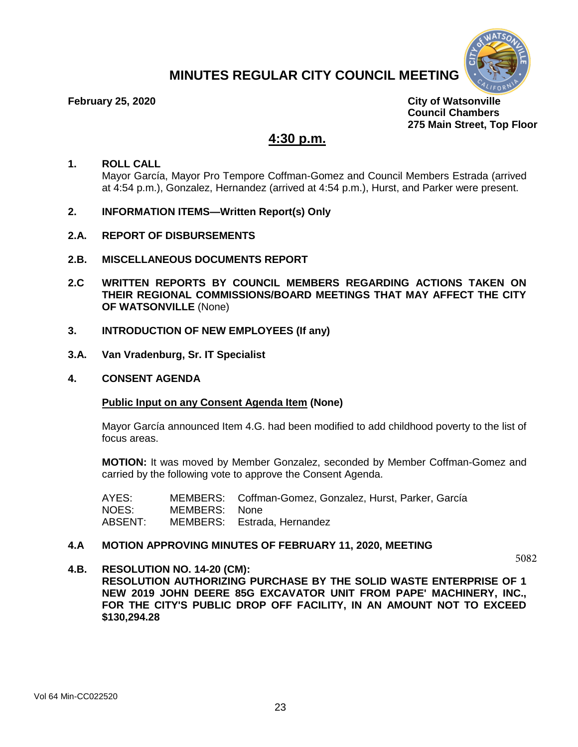# **MINUTES REGULAR CITY COUNCIL MEETING**



**February 25, 2020 City of Watsonville Council Chambers 275 Main Street, Top Floor** 

# **4:30 p.m.**

## **1. ROLL CALL** Mayor García, Mayor Pro Tempore Coffman-Gomez and Council Members Estrada (arrived at 4:54 p.m.), Gonzalez, Hernandez (arrived at 4:54 p.m.), Hurst, and Parker were present.

- **2. INFORMATION ITEMS—Written Report(s) Only**
- **2.A. REPORT OF DISBURSEMENTS**
- **2.B. MISCELLANEOUS DOCUMENTS REPORT**
- **2.C WRITTEN REPORTS BY COUNCIL MEMBERS REGARDING ACTIONS TAKEN ON THEIR REGIONAL COMMISSIONS/BOARD MEETINGS THAT MAY AFFECT THE CITY OF WATSONVILLE** (None)
- **3. INTRODUCTION OF NEW EMPLOYEES (If any)**
- **3.A. Van Vradenburg, Sr. IT Specialist**
- **4. CONSENT AGENDA**

## **Public Input on any Consent Agenda Item (None)**

Mayor García announced Item 4.G. had been modified to add childhood poverty to the list of focus areas.

**MOTION:** It was moved by Member Gonzalez, seconded by Member Coffman-Gomez and carried by the following vote to approve the Consent Agenda.

| AYES:   |               | MEMBERS: Coffman-Gomez, Gonzalez, Hurst, Parker, García |
|---------|---------------|---------------------------------------------------------|
| NOES:   | MEMBERS: None |                                                         |
| ABSENT: |               | MEMBERS: Estrada, Hernandez                             |

## **4.A MOTION APPROVING MINUTES OF FEBRUARY 11, 2020, MEETING**

5082

**4.B. RESOLUTION NO. 14-20 (CM): RESOLUTION AUTHORIZING PURCHASE BY THE SOLID WASTE ENTERPRISE OF 1 NEW 2019 JOHN DEERE 85G EXCAVATOR UNIT FROM PAPE' MACHINERY, INC., FOR THE CITY'S PUBLIC DROP OFF FACILITY, IN AN AMOUNT NOT TO EXCEED \$130,294.28**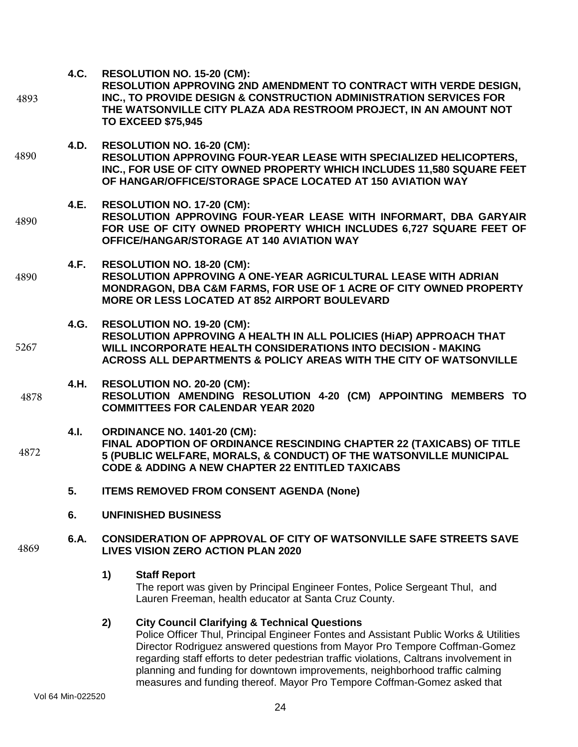**4.C. RESOLUTION NO. 15-20 (CM):** 

- **RESOLUTION APPROVING 2ND AMENDMENT TO CONTRACT WITH VERDE DESIGN, INC., TO PROVIDE DESIGN & CONSTRUCTION ADMINISTRATION SERVICES FOR THE WATSONVILLE CITY PLAZA ADA RESTROOM PROJECT, IN AN AMOUNT NOT TO EXCEED \$75,945**  4893
- **4.D. RESOLUTION NO. 16-20 (CM): RESOLUTION APPROVING FOUR-YEAR LEASE WITH SPECIALIZED HELICOPTERS, INC., FOR USE OF CITY OWNED PROPERTY WHICH INCLUDES 11,580 SQUARE FEET OF HANGAR/OFFICE/STORAGE SPACE LOCATED AT 150 AVIATION WAY**  4890
- **4.E. RESOLUTION NO. 17-20 (CM): RESOLUTION APPROVING FOUR-YEAR LEASE WITH INFORMART, DBA GARYAIR FOR USE OF CITY OWNED PROPERTY WHICH INCLUDES 6,727 SQUARE FEET OF OFFICE/HANGAR/STORAGE AT 140 AVIATION WAY**  4890
- **4.F. RESOLUTION NO. 18-20 (CM): RESOLUTION APPROVING A ONE-YEAR AGRICULTURAL LEASE WITH ADRIAN MONDRAGON, DBA C&M FARMS, FOR USE OF 1 ACRE OF CITY OWNED PROPERTY MORE OR LESS LOCATED AT 852 AIRPORT BOULEVARD**  4890
- **4.G. RESOLUTION NO. 19-20 (CM): RESOLUTION APPROVING A HEALTH IN ALL POLICIES (HiAP) APPROACH THAT WILL INCORPORATE HEALTH CONSIDERATIONS INTO DECISION - MAKING ACROSS ALL DEPARTMENTS & POLICY AREAS WITH THE CITY OF WATSONVILLE**  5267
- **4.H. RESOLUTION NO. 20-20 (CM): RESOLUTION AMENDING RESOLUTION 4-20 (CM) APPOINTING MEMBERS TO COMMITTEES FOR CALENDAR YEAR 2020**  4878
- **4.I. ORDINANCE NO. 1401-20 (CM): FINAL ADOPTION OF ORDINANCE RESCINDING CHAPTER 22 (TAXICABS) OF TITLE 5 (PUBLIC WELFARE, MORALS, & CONDUCT) OF THE WATSONVILLE MUNICIPAL CODE & ADDING A NEW CHAPTER 22 ENTITLED TAXICABS**  4872
	- **5. ITEMS REMOVED FROM CONSENT AGENDA (None)**
	- **6. UNFINISHED BUSINESS**

#### **6.A. CONSIDERATION OF APPROVAL OF CITY OF WATSONVILLE SAFE STREETS SAVE LIVES VISION ZERO ACTION PLAN 2020** 4869

**1) Staff Report**

The report was given by Principal Engineer Fontes, Police Sergeant Thul, and Lauren Freeman, health educator at Santa Cruz County.

## **2) City Council Clarifying & Technical Questions**

Police Officer Thul, Principal Engineer Fontes and Assistant Public Works & Utilities Director Rodriguez answered questions from Mayor Pro Tempore Coffman-Gomez regarding staff efforts to deter pedestrian traffic violations, Caltrans involvement in planning and funding for downtown improvements, neighborhood traffic calming measures and funding thereof. Mayor Pro Tempore Coffman-Gomez asked that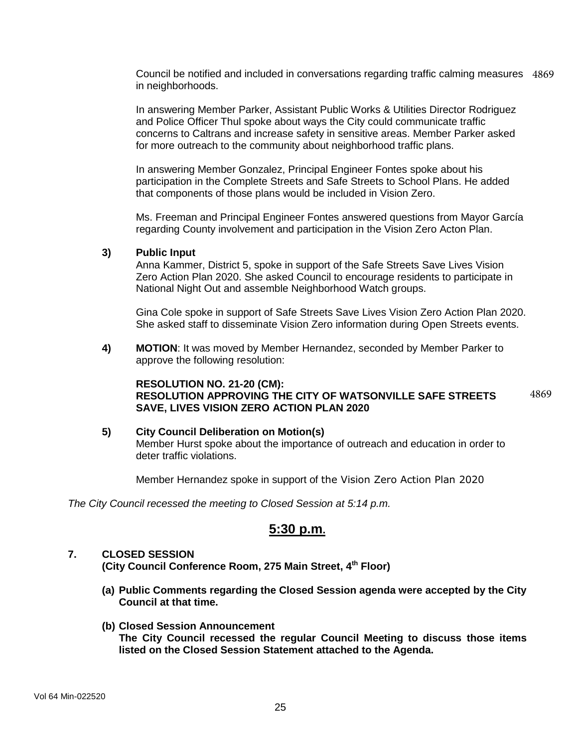Council be notified and included in conversations regarding traffic calming measures 4869 in neighborhoods.

In answering Member Parker, Assistant Public Works & Utilities Director Rodriguez and Police Officer Thul spoke about ways the City could communicate traffic concerns to Caltrans and increase safety in sensitive areas. Member Parker asked for more outreach to the community about neighborhood traffic plans.

In answering Member Gonzalez, Principal Engineer Fontes spoke about his participation in the Complete Streets and Safe Streets to School Plans. He added that components of those plans would be included in Vision Zero.

Ms. Freeman and Principal Engineer Fontes answered questions from Mayor García regarding County involvement and participation in the Vision Zero Acton Plan.

## **3) Public Input**

Anna Kammer, District 5, spoke in support of the Safe Streets Save Lives Vision Zero Action Plan 2020. She asked Council to encourage residents to participate in National Night Out and assemble Neighborhood Watch groups.

Gina Cole spoke in support of Safe Streets Save Lives Vision Zero Action Plan 2020. She asked staff to disseminate Vision Zero information during Open Streets events.

**4) MOTION**: It was moved by Member Hernandez, seconded by Member Parker to approve the following resolution:

### **RESOLUTION NO. 21-20 (CM): RESOLUTION APPROVING THE CITY OF WATSONVILLE SAFE STREETS SAVE, LIVES VISION ZERO ACTION PLAN 2020** 4869

**5) City Council Deliberation on Motion(s)** Member Hurst spoke about the importance of outreach and education in order to deter traffic violations.

Member Hernandez spoke in support of the Vision Zero Action Plan 2020

*The City Council recessed the meeting to Closed Session at 5:14 p.m.* 

# **5:30 p.m.**

## **7. CLOSED SESSION**

**(City Council Conference Room, 275 Main Street, 4 th Floor)**

- **(a) Public Comments regarding the Closed Session agenda were accepted by the City Council at that time.**
- **(b) Closed Session Announcement The City Council recessed the regular Council Meeting to discuss those items listed on the Closed Session Statement attached to the Agenda.**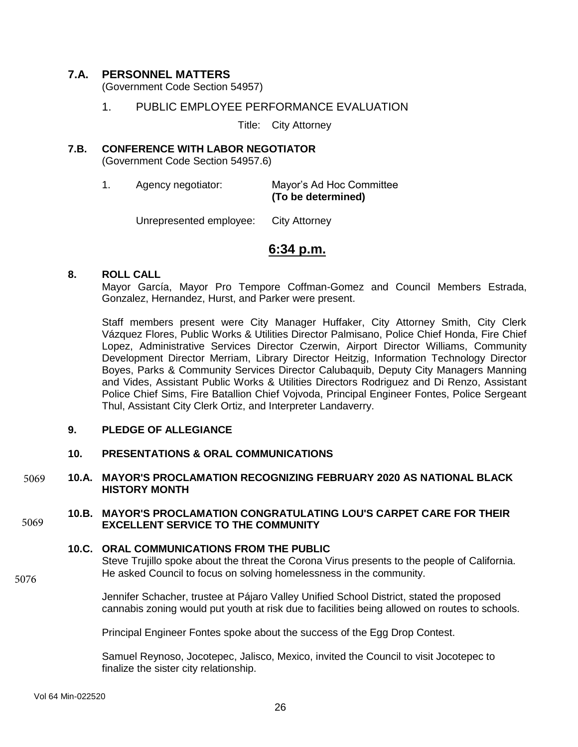## **7.A. PERSONNEL MATTERS**

(Government Code Section 54957)

## 1. PUBLIC EMPLOYEE PERFORMANCE EVALUATION

Title: City Attorney

## **7.B. CONFERENCE WITH LABOR NEGOTIATOR** (Government Code Section 54957.6)

1. Agency negotiator: Mayor's Ad Hoc Committee **(To be determined)** 

Unrepresented employee: City Attorney

# **6:34 p.m.**

## **8. ROLL CALL**

Mayor García, Mayor Pro Tempore Coffman-Gomez and Council Members Estrada, Gonzalez, Hernandez, Hurst, and Parker were present.

Staff members present were City Manager Huffaker, City Attorney Smith, City Clerk Vázquez Flores, Public Works & Utilities Director Palmisano, Police Chief Honda, Fire Chief Lopez, Administrative Services Director Czerwin, Airport Director Williams, Community Development Director Merriam, Library Director Heitzig, Information Technology Director Boyes, Parks & Community Services Director Calubaquib, Deputy City Managers Manning and Vides, Assistant Public Works & Utilities Directors Rodriguez and Di Renzo, Assistant Police Chief Sims, Fire Batallion Chief Vojvoda, Principal Engineer Fontes, Police Sergeant Thul, Assistant City Clerk Ortiz, and Interpreter Landaverry.

## **9. PLEDGE OF ALLEGIANCE**

## **10. PRESENTATIONS & ORAL COMMUNICATIONS**

### **10.A. MAYOR'S PROCLAMATION RECOGNIZING FEBRUARY 2020 AS NATIONAL BLACK HISTORY MONTH**  5069

#### **10.B. MAYOR'S PROCLAMATION CONGRATULATING LOU'S CARPET CARE FOR THEIR EXCELLENT SERVICE TO THE COMMUNITY**  5069

## **10.C. ORAL COMMUNICATIONS FROM THE PUBLIC**

Steve Trujillo spoke about the threat the Corona Virus presents to the people of California. He asked Council to focus on solving homelessness in the community.

Jennifer Schacher, trustee at Pájaro Valley Unified School District, stated the proposed cannabis zoning would put youth at risk due to facilities being allowed on routes to schools.

Principal Engineer Fontes spoke about the success of the Egg Drop Contest.

Samuel Reynoso, Jocotepec, Jalisco, Mexico, invited the Council to visit Jocotepec to finalize the sister city relationship.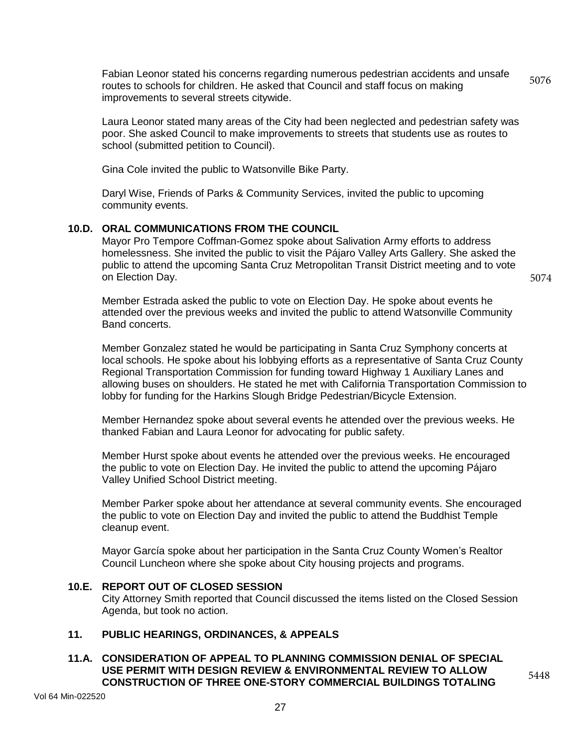Fabian Leonor stated his concerns regarding numerous pedestrian accidents and unsafe routes to schools for children. He asked that Council and staff focus on making improvements to several streets citywide. 5076

Laura Leonor stated many areas of the City had been neglected and pedestrian safety was poor. She asked Council to make improvements to streets that students use as routes to school (submitted petition to Council).

Gina Cole invited the public to Watsonville Bike Party.

Daryl Wise, Friends of Parks & Community Services, invited the public to upcoming community events.

## **10.D. ORAL COMMUNICATIONS FROM THE COUNCIL**

Mayor Pro Tempore Coffman-Gomez spoke about Salivation Army efforts to address homelessness. She invited the public to visit the Pájaro Valley Arts Gallery. She asked the public to attend the upcoming Santa Cruz Metropolitan Transit District meeting and to vote on Election Day.

5074

5448

Member Estrada asked the public to vote on Election Day. He spoke about events he attended over the previous weeks and invited the public to attend Watsonville Community Band concerts.

Member Gonzalez stated he would be participating in Santa Cruz Symphony concerts at local schools. He spoke about his lobbying efforts as a representative of Santa Cruz County Regional Transportation Commission for funding toward Highway 1 Auxiliary Lanes and allowing buses on shoulders. He stated he met with California Transportation Commission to lobby for funding for the Harkins Slough Bridge Pedestrian/Bicycle Extension.

Member Hernandez spoke about several events he attended over the previous weeks. He thanked Fabian and Laura Leonor for advocating for public safety.

Member Hurst spoke about events he attended over the previous weeks. He encouraged the public to vote on Election Day. He invited the public to attend the upcoming Pájaro Valley Unified School District meeting.

Member Parker spoke about her attendance at several community events. She encouraged the public to vote on Election Day and invited the public to attend the Buddhist Temple cleanup event.

Mayor García spoke about her participation in the Santa Cruz County Women's Realtor Council Luncheon where she spoke about City housing projects and programs.

## **10.E. REPORT OUT OF CLOSED SESSION**

City Attorney Smith reported that Council discussed the items listed on the Closed Session Agenda, but took no action.

# **11. PUBLIC HEARINGS, ORDINANCES, & APPEALS**

## **11.A. CONSIDERATION OF APPEAL TO PLANNING COMMISSION DENIAL OF SPECIAL USE PERMIT WITH DESIGN REVIEW & ENVIRONMENTAL REVIEW TO ALLOW CONSTRUCTION OF THREE ONE-STORY COMMERCIAL BUILDINGS TOTALING**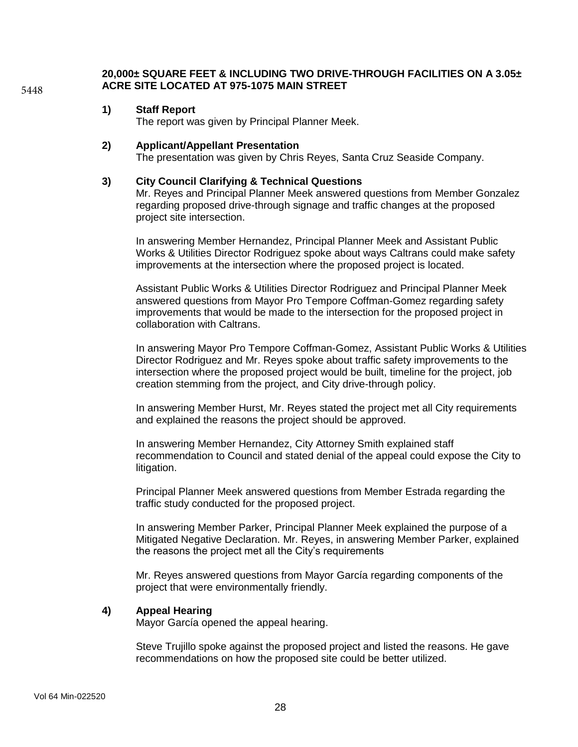**20,000± SQUARE FEET & INCLUDING TWO DRIVE-THROUGH FACILITIES ON A 3.05± ACRE SITE LOCATED AT 975-1075 MAIN STREET** 

## **1) Staff Report**

The report was given by Principal Planner Meek.

## **2) Applicant/Appellant Presentation**

The presentation was given by Chris Reyes, Santa Cruz Seaside Company.

## **3) City Council Clarifying & Technical Questions**

Mr. Reyes and Principal Planner Meek answered questions from Member Gonzalez regarding proposed drive-through signage and traffic changes at the proposed project site intersection.

In answering Member Hernandez, Principal Planner Meek and Assistant Public Works & Utilities Director Rodriguez spoke about ways Caltrans could make safety improvements at the intersection where the proposed project is located.

Assistant Public Works & Utilities Director Rodriguez and Principal Planner Meek answered questions from Mayor Pro Tempore Coffman-Gomez regarding safety improvements that would be made to the intersection for the proposed project in collaboration with Caltrans.

In answering Mayor Pro Tempore Coffman-Gomez, Assistant Public Works & Utilities Director Rodriguez and Mr. Reyes spoke about traffic safety improvements to the intersection where the proposed project would be built, timeline for the project, job creation stemming from the project, and City drive-through policy.

In answering Member Hurst, Mr. Reyes stated the project met all City requirements and explained the reasons the project should be approved.

In answering Member Hernandez, City Attorney Smith explained staff recommendation to Council and stated denial of the appeal could expose the City to litigation.

Principal Planner Meek answered questions from Member Estrada regarding the traffic study conducted for the proposed project.

In answering Member Parker, Principal Planner Meek explained the purpose of a Mitigated Negative Declaration. Mr. Reyes, in answering Member Parker, explained the reasons the project met all the City's requirements

Mr. Reyes answered questions from Mayor García regarding components of the project that were environmentally friendly.

## **4) Appeal Hearing**

Mayor García opened the appeal hearing.

Steve Trujillo spoke against the proposed project and listed the reasons. He gave recommendations on how the proposed site could be better utilized.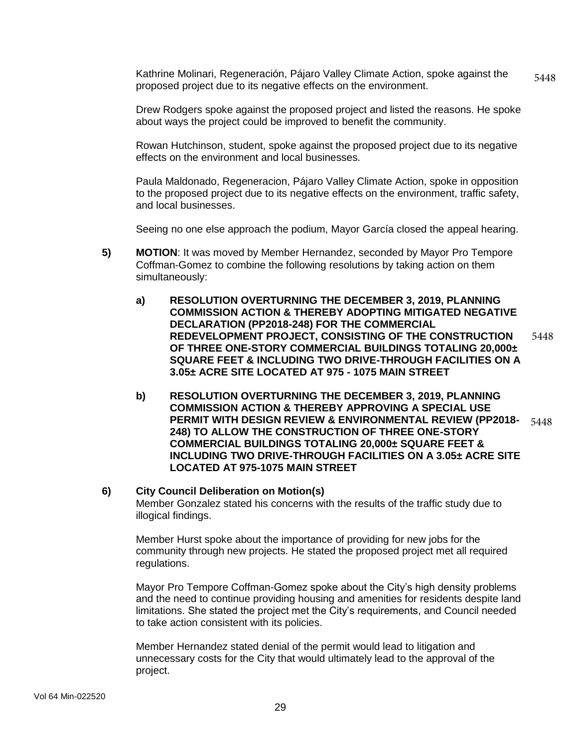Kathrine Molinari, Regeneración, Pájaro Valley Climate Action, spoke against the proposed project due to its negative effects on the environment. 5448

Drew Rodgers spoke against the proposed project and listed the reasons. He spoke about ways the project could be improved to benefit the community.

Rowan Hutchinson, student, spoke against the proposed project due to its negative effects on the environment and local businesses.

Paula Maldonado, Regeneracion, Pájaro Valley Climate Action, spoke in opposition to the proposed project due to its negative effects on the environment, traffic safety, and local businesses.

Seeing no one else approach the podium, Mayor García closed the appeal hearing.

- **5) MOTION**: It was moved by Member Hernandez, seconded by Mayor Pro Tempore Coffman-Gomez to combine the following resolutions by taking action on them simultaneously:
	- **a) RESOLUTION OVERTURNING THE DECEMBER 3, 2019, PLANNING COMMISSION ACTION & THEREBY ADOPTING MITIGATED NEGATIVE DECLARATION (PP2018-248) FOR THE COMMERCIAL REDEVELOPMENT PROJECT, CONSISTING OF THE CONSTRUCTION OF THREE ONE-STORY COMMERCIAL BUILDINGS TOTALING 20,000± SQUARE FEET & INCLUDING TWO DRIVE-THROUGH FACILITIES ON A 3.05± ACRE SITE LOCATED AT 975 - 1075 MAIN STREET** 5448
	- **b) RESOLUTION OVERTURNING THE DECEMBER 3, 2019, PLANNING COMMISSION ACTION & THEREBY APPROVING A SPECIAL USE PERMIT WITH DESIGN REVIEW & ENVIRONMENTAL REVIEW (PP2018- 248) TO ALLOW THE CONSTRUCTION OF THREE ONE-STORY COMMERCIAL BUILDINGS TOTALING 20,000± SQUARE FEET & INCLUDING TWO DRIVE-THROUGH FACILITIES ON A 3.05± ACRE SITE LOCATED AT 975-1075 MAIN STREET** 5448

### **6) City Council Deliberation on Motion(s)**

Member Gonzalez stated his concerns with the results of the traffic study due to illogical findings.

Member Hurst spoke about the importance of providing for new jobs for the community through new projects. He stated the proposed project met all required regulations.

Mayor Pro Tempore Coffman-Gomez spoke about the City's high density problems and the need to continue providing housing and amenities for residents despite land limitations. She stated the project met the City's requirements, and Council needed to take action consistent with its policies.

Member Hernandez stated denial of the permit would lead to litigation and unnecessary costs for the City that would ultimately lead to the approval of the project.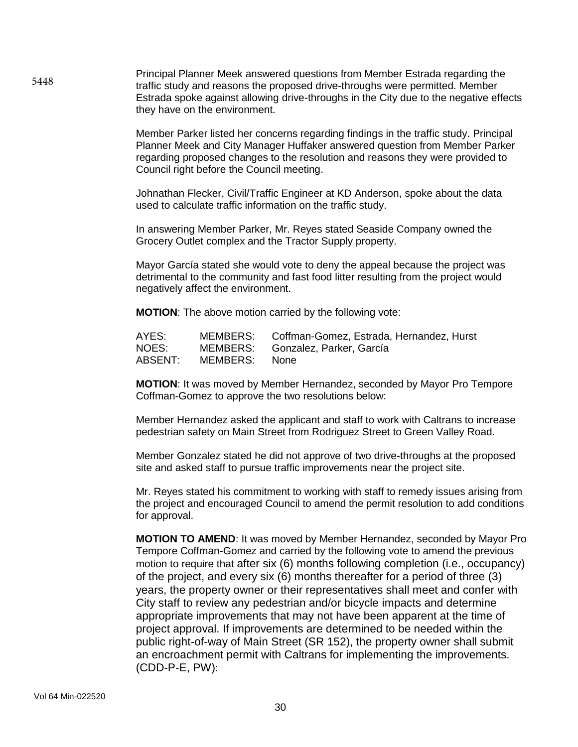Principal Planner Meek answered questions from Member Estrada regarding the traffic study and reasons the proposed drive-throughs were permitted. Member Estrada spoke against allowing drive-throughs in the City due to the negative effects they have on the environment.

> Member Parker listed her concerns regarding findings in the traffic study. Principal Planner Meek and City Manager Huffaker answered question from Member Parker regarding proposed changes to the resolution and reasons they were provided to Council right before the Council meeting.

Johnathan Flecker, Civil/Traffic Engineer at KD Anderson, spoke about the data used to calculate traffic information on the traffic study.

In answering Member Parker, Mr. Reyes stated Seaside Company owned the Grocery Outlet complex and the Tractor Supply property.

Mayor García stated she would vote to deny the appeal because the project was detrimental to the community and fast food litter resulting from the project would negatively affect the environment.

**MOTION**: The above motion carried by the following vote:

| AYES: |                       | MEMBERS: Coffman-Gomez, Estrada, Hernandez, Hurst |
|-------|-----------------------|---------------------------------------------------|
| NOES: |                       | MEMBERS: Gonzalez, Parker, García                 |
|       | ABSENT: MEMBERS: None |                                                   |

**MOTION**: It was moved by Member Hernandez, seconded by Mayor Pro Tempore Coffman-Gomez to approve the two resolutions below:

Member Hernandez asked the applicant and staff to work with Caltrans to increase pedestrian safety on Main Street from Rodriguez Street to Green Valley Road.

Member Gonzalez stated he did not approve of two drive-throughs at the proposed site and asked staff to pursue traffic improvements near the project site.

Mr. Reyes stated his commitment to working with staff to remedy issues arising from the project and encouraged Council to amend the permit resolution to add conditions for approval.

**MOTION TO AMEND**: It was moved by Member Hernandez, seconded by Mayor Pro Tempore Coffman-Gomez and carried by the following vote to amend the previous motion to require that after six (6) months following completion (i.e., occupancy) of the project, and every six (6) months thereafter for a period of three (3) years, the property owner or their representatives shall meet and confer with City staff to review any pedestrian and/or bicycle impacts and determine appropriate improvements that may not have been apparent at the time of project approval. If improvements are determined to be needed within the public right-of-way of Main Street (SR 152), the property owner shall submit an encroachment permit with Caltrans for implementing the improvements. (CDD-P-E, PW):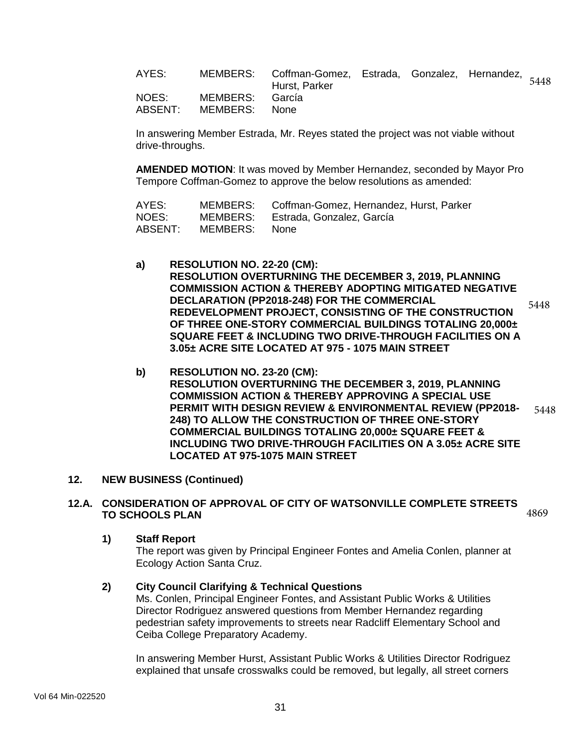| AYES:            |                             | MEMBERS: Coffman-Gomez, Estrada, Gonzalez, Hernandez, 5448<br>Hurst, Parker |  |  |
|------------------|-----------------------------|-----------------------------------------------------------------------------|--|--|
| NOES:<br>ABSENT: | MEMBERS: García<br>MEMBERS: | None.                                                                       |  |  |

In answering Member Estrada, Mr. Reyes stated the project was not viable without drive-throughs.

**AMENDED MOTION**: It was moved by Member Hernandez, seconded by Mayor Pro Tempore Coffman-Gomez to approve the below resolutions as amended:

| AYES:   | MEMBERS: | Coffman-Gomez, Hernandez, Hurst, Parker |
|---------|----------|-----------------------------------------|
| NOES:   | MEMBERS: | Estrada, Gonzalez, García               |
| ABSENT: | MEMBERS: | None                                    |

- **a) RESOLUTION NO. 22-20 (CM): RESOLUTION OVERTURNING THE DECEMBER 3, 2019, PLANNING COMMISSION ACTION & THEREBY ADOPTING MITIGATED NEGATIVE DECLARATION (PP2018-248) FOR THE COMMERCIAL REDEVELOPMENT PROJECT, CONSISTING OF THE CONSTRUCTION OF THREE ONE-STORY COMMERCIAL BUILDINGS TOTALING 20,000± SQUARE FEET & INCLUDING TWO DRIVE-THROUGH FACILITIES ON A 3.05± ACRE SITE LOCATED AT 975 - 1075 MAIN STREET** 5448
- **b) RESOLUTION NO. 23-20 (CM): RESOLUTION OVERTURNING THE DECEMBER 3, 2019, PLANNING COMMISSION ACTION & THEREBY APPROVING A SPECIAL USE PERMIT WITH DESIGN REVIEW & ENVIRONMENTAL REVIEW (PP2018- 248) TO ALLOW THE CONSTRUCTION OF THREE ONE-STORY COMMERCIAL BUILDINGS TOTALING 20,000± SQUARE FEET & INCLUDING TWO DRIVE-THROUGH FACILITIES ON A 3.05± ACRE SITE LOCATED AT 975-1075 MAIN STREET** 5448

## **12. NEW BUSINESS (Continued)**

#### **12.A. CONSIDERATION OF APPROVAL OF CITY OF WATSONVILLE COMPLETE STREETS TO SCHOOLS PLAN**  4869

## **1) Staff Report**

The report was given by Principal Engineer Fontes and Amelia Conlen, planner at Ecology Action Santa Cruz.

# **2) City Council Clarifying & Technical Questions**

Ms. Conlen, Principal Engineer Fontes, and Assistant Public Works & Utilities Director Rodriguez answered questions from Member Hernandez regarding pedestrian safety improvements to streets near Radcliff Elementary School and Ceiba College Preparatory Academy.

In answering Member Hurst, Assistant Public Works & Utilities Director Rodriguez explained that unsafe crosswalks could be removed, but legally, all street corners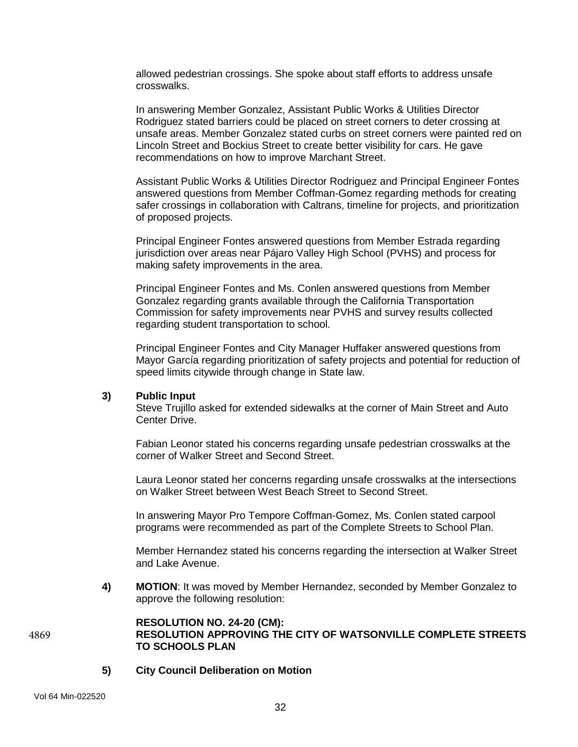allowed pedestrian crossings. She spoke about staff efforts to address unsafe crosswalks.

In answering Member Gonzalez, Assistant Public Works & Utilities Director Rodriguez stated barriers could be placed on street corners to deter crossing at unsafe areas. Member Gonzalez stated curbs on street corners were painted red on Lincoln Street and Bockius Street to create better visibility for cars. He gave recommendations on how to improve Marchant Street.

Assistant Public Works & Utilities Director Rodriguez and Principal Engineer Fontes answered questions from Member Coffman-Gomez regarding methods for creating safer crossings in collaboration with Caltrans, timeline for projects, and prioritization of proposed projects.

Principal Engineer Fontes answered questions from Member Estrada regarding jurisdiction over areas near Pájaro Valley High School (PVHS) and process for making safety improvements in the area.

Principal Engineer Fontes and Ms. Conlen answered questions from Member Gonzalez regarding grants available through the California Transportation Commission for safety improvements near PVHS and survey results collected regarding student transportation to school.

Principal Engineer Fontes and City Manager Huffaker answered questions from Mayor García regarding prioritization of safety projects and potential for reduction of speed limits citywide through change in State law.

## **3) Public Input**

Steve Trujillo asked for extended sidewalks at the corner of Main Street and Auto Center Drive.

Fabian Leonor stated his concerns regarding unsafe pedestrian crosswalks at the corner of Walker Street and Second Street.

Laura Leonor stated her concerns regarding unsafe crosswalks at the intersections on Walker Street between West Beach Street to Second Street.

In answering Mayor Pro Tempore Coffman-Gomez, Ms. Conlen stated carpool programs were recommended as part of the Complete Streets to School Plan.

Member Hernandez stated his concerns regarding the intersection at Walker Street and Lake Avenue.

**4) MOTION**: It was moved by Member Hernandez, seconded by Member Gonzalez to approve the following resolution:

### **RESOLUTION NO. 24-20 (CM): RESOLUTION APPROVING THE CITY OF WATSONVILLE COMPLETE STREETS TO SCHOOLS PLAN** 4869

**5) City Council Deliberation on Motion**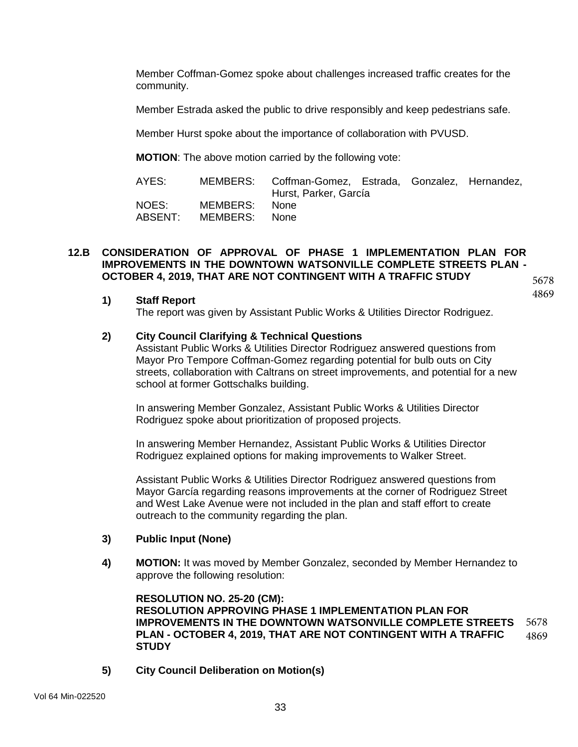Member Coffman-Gomez spoke about challenges increased traffic creates for the community.

Member Estrada asked the public to drive responsibly and keep pedestrians safe.

Member Hurst spoke about the importance of collaboration with PVUSD.

**MOTION**: The above motion carried by the following vote:

| AYES:            |                           | MEMBERS: Coffman-Gomez, Estrada, Gonzalez, Hernandez,<br>Hurst, Parker, García |  |  |
|------------------|---------------------------|--------------------------------------------------------------------------------|--|--|
| NOES:<br>ABSENT: | MEMBERS:<br>MEMBERS: None | – None                                                                         |  |  |

### **12.B CONSIDERATION OF APPROVAL OF PHASE 1 IMPLEMENTATION PLAN FOR IMPROVEMENTS IN THE DOWNTOWN WATSONVILLE COMPLETE STREETS PLAN - OCTOBER 4, 2019, THAT ARE NOT CONTINGENT WITH A TRAFFIC STUDY**  5678

**1) Staff Report**

The report was given by Assistant Public Works & Utilities Director Rodriguez.

## **2) City Council Clarifying & Technical Questions**

Assistant Public Works & Utilities Director Rodriguez answered questions from Mayor Pro Tempore Coffman-Gomez regarding potential for bulb outs on City streets, collaboration with Caltrans on street improvements, and potential for a new school at former Gottschalks building.

4869

In answering Member Gonzalez, Assistant Public Works & Utilities Director Rodriguez spoke about prioritization of proposed projects.

In answering Member Hernandez, Assistant Public Works & Utilities Director Rodriguez explained options for making improvements to Walker Street.

Assistant Public Works & Utilities Director Rodriguez answered questions from Mayor García regarding reasons improvements at the corner of Rodriguez Street and West Lake Avenue were not included in the plan and staff effort to create outreach to the community regarding the plan.

## **3) Public Input (None)**

**4) MOTION:** It was moved by Member Gonzalez, seconded by Member Hernandez to approve the following resolution:

**RESOLUTION NO. 25-20 (CM): RESOLUTION APPROVING PHASE 1 IMPLEMENTATION PLAN FOR IMPROVEMENTS IN THE DOWNTOWN WATSONVILLE COMPLETE STREETS PLAN - OCTOBER 4, 2019, THAT ARE NOT CONTINGENT WITH A TRAFFIC STUDY** 5678 4869

**5) City Council Deliberation on Motion(s)**